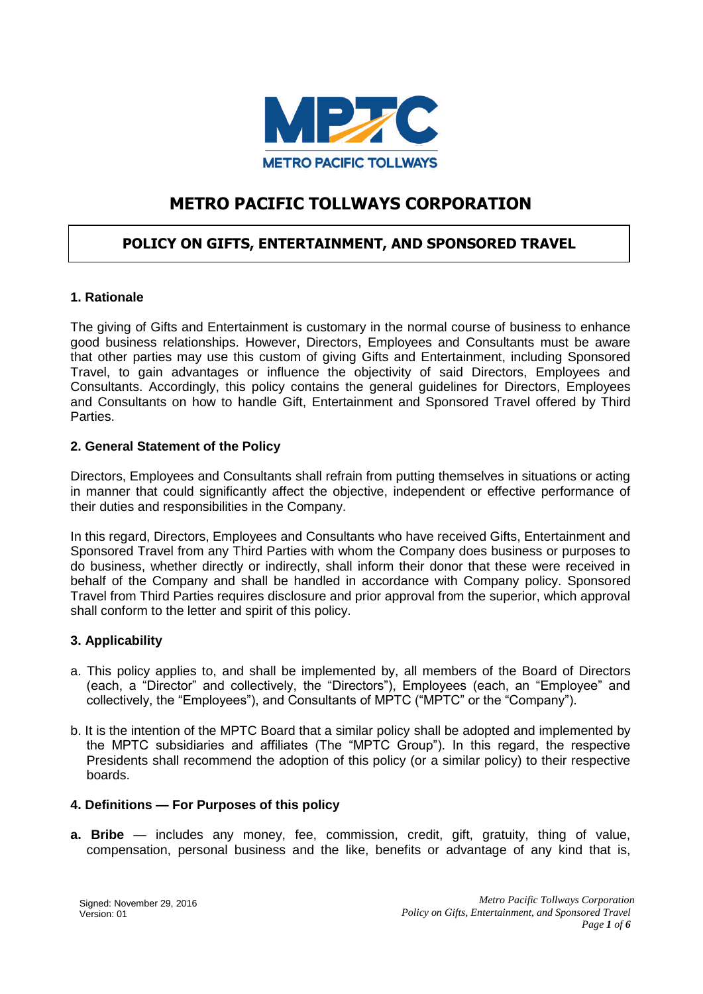

# **METRO PACIFIC TOLLWAYS CORPORATION**

## **POLICY ON GIFTS, ENTERTAINMENT, AND SPONSORED TRAVEL**

### **1. Rationale**

The giving of Gifts and Entertainment is customary in the normal course of business to enhance good business relationships. However, Directors, Employees and Consultants must be aware that other parties may use this custom of giving Gifts and Entertainment, including Sponsored Travel, to gain advantages or influence the objectivity of said Directors, Employees and Consultants. Accordingly, this policy contains the general guidelines for Directors, Employees and Consultants on how to handle Gift, Entertainment and Sponsored Travel offered by Third Parties.

#### **2. General Statement of the Policy**

Directors, Employees and Consultants shall refrain from putting themselves in situations or acting in manner that could significantly affect the objective, independent or effective performance of their duties and responsibilities in the Company.

In this regard, Directors, Employees and Consultants who have received Gifts, Entertainment and Sponsored Travel from any Third Parties with whom the Company does business or purposes to do business, whether directly or indirectly, shall inform their donor that these were received in behalf of the Company and shall be handled in accordance with Company policy. Sponsored Travel from Third Parties requires disclosure and prior approval from the superior, which approval shall conform to the letter and spirit of this policy.

## **3. Applicability**

- a. This policy applies to, and shall be implemented by, all members of the Board of Directors (each, a "Director" and collectively, the "Directors"), Employees (each, an "Employee" and collectively, the "Employees"), and Consultants of MPTC ("MPTC" or the "Company").
- b. It is the intention of the MPTC Board that a similar policy shall be adopted and implemented by the MPTC subsidiaries and affiliates (The "MPTC Group"). In this regard, the respective Presidents shall recommend the adoption of this policy (or a similar policy) to their respective boards.

#### **4. Definitions — For Purposes of this policy**

**a. Bribe** — includes any money, fee, commission, credit, gift, gratuity, thing of value, compensation, personal business and the like, benefits or advantage of any kind that is,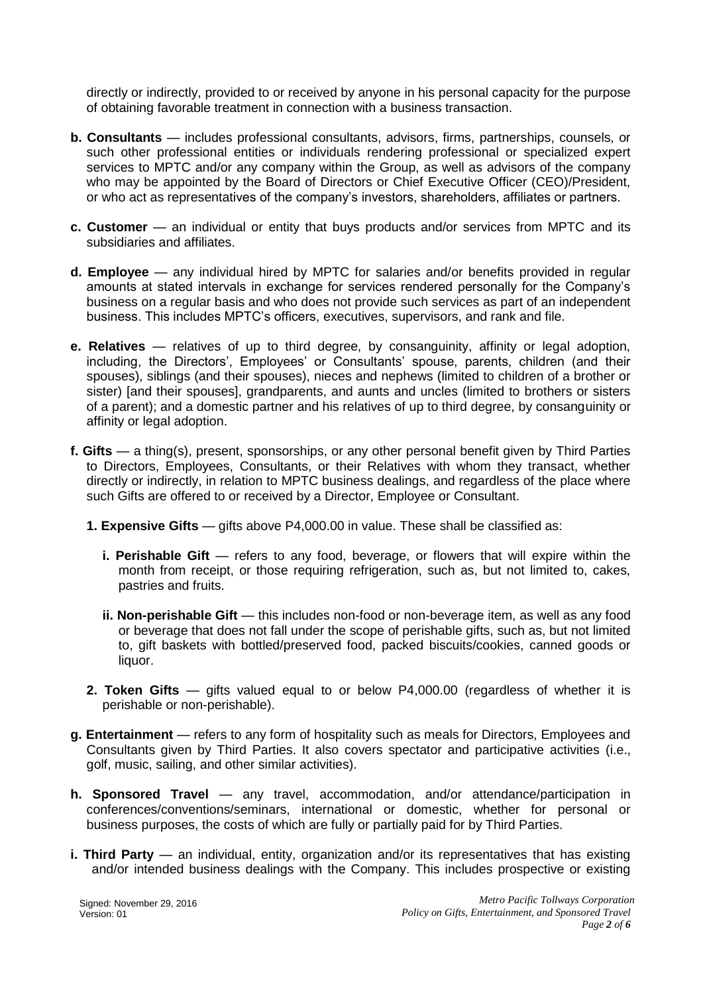directly or indirectly, provided to or received by anyone in his personal capacity for the purpose of obtaining favorable treatment in connection with a business transaction.

- **b. Consultants**  includes professional consultants, advisors, firms, partnerships, counsels, or such other professional entities or individuals rendering professional or specialized expert services to MPTC and/or any company within the Group, as well as advisors of the company who may be appointed by the Board of Directors or Chief Executive Officer (CEO)/President, or who act as representatives of the company's investors, shareholders, affiliates or partners.
- **c. Customer**  an individual or entity that buys products and/or services from MPTC and its subsidiaries and affiliates.
- **d. Employee**  any individual hired by MPTC for salaries and/or benefits provided in regular amounts at stated intervals in exchange for services rendered personally for the Company's business on a regular basis and who does not provide such services as part of an independent business. This includes MPTC's officers, executives, supervisors, and rank and file.
- **e. Relatives**  relatives of up to third degree, by consanguinity, affinity or legal adoption, including, the Directors', Employees' or Consultants' spouse, parents, children (and their spouses), siblings (and their spouses), nieces and nephews (limited to children of a brother or sister) [and their spouses], grandparents, and aunts and uncles (limited to brothers or sisters of a parent); and a domestic partner and his relatives of up to third degree, by consanguinity or affinity or legal adoption.
- **f. Gifts**  a thing(s), present, sponsorships, or any other personal benefit given by Third Parties to Directors, Employees, Consultants, or their Relatives with whom they transact, whether directly or indirectly, in relation to MPTC business dealings, and regardless of the place where such Gifts are offered to or received by a Director, Employee or Consultant.
	- **1. Expensive Gifts**  gifts above P4,000.00 in value. These shall be classified as:
		- **i. Perishable Gift** refers to any food, beverage, or flowers that will expire within the month from receipt, or those requiring refrigeration, such as, but not limited to, cakes, pastries and fruits.
		- **ii. Non-perishable Gift** this includes non-food or non-beverage item, as well as any food or beverage that does not fall under the scope of perishable gifts, such as, but not limited to, gift baskets with bottled/preserved food, packed biscuits/cookies, canned goods or liquor.
	- **2. Token Gifts**  gifts valued equal to or below P4,000.00 (regardless of whether it is perishable or non-perishable).
- **g. Entertainment**  refers to any form of hospitality such as meals for Directors, Employees and Consultants given by Third Parties. It also covers spectator and participative activities (i.e., golf, music, sailing, and other similar activities).
- **h. Sponsored Travel**  any travel, accommodation, and/or attendance/participation in conferences/conventions/seminars, international or domestic, whether for personal or business purposes, the costs of which are fully or partially paid for by Third Parties.
- **i. Third Party**  an individual, entity, organization and/or its representatives that has existing and/or intended business dealings with the Company. This includes prospective or existing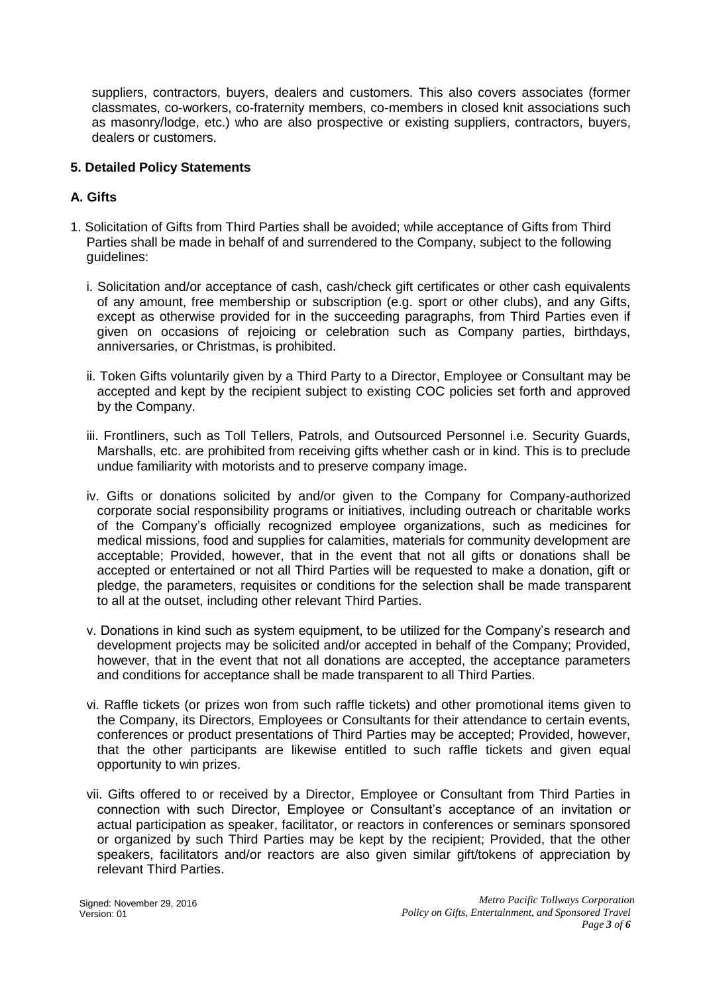suppliers, contractors, buyers, dealers and customers. This also covers associates (former classmates, co-workers, co-fraternity members, co-members in closed knit associations such as masonry/lodge, etc.) who are also prospective or existing suppliers, contractors, buyers, dealers or customers.

## **5. Detailed Policy Statements**

## **A. Gifts**

- 1. Solicitation of Gifts from Third Parties shall be avoided; while acceptance of Gifts from Third Parties shall be made in behalf of and surrendered to the Company, subject to the following guidelines:
	- i. Solicitation and/or acceptance of cash, cash/check gift certificates or other cash equivalents of any amount, free membership or subscription (e.g. sport or other clubs), and any Gifts, except as otherwise provided for in the succeeding paragraphs, from Third Parties even if given on occasions of rejoicing or celebration such as Company parties, birthdays, anniversaries, or Christmas, is prohibited.
	- ii. Token Gifts voluntarily given by a Third Party to a Director, Employee or Consultant may be accepted and kept by the recipient subject to existing COC policies set forth and approved by the Company.
	- iii. Frontliners, such as Toll Tellers, Patrols, and Outsourced Personnel i.e. Security Guards, Marshalls, etc. are prohibited from receiving gifts whether cash or in kind. This is to preclude undue familiarity with motorists and to preserve company image.
	- iv. Gifts or donations solicited by and/or given to the Company for Company-authorized corporate social responsibility programs or initiatives, including outreach or charitable works of the Company's officially recognized employee organizations, such as medicines for medical missions, food and supplies for calamities, materials for community development are acceptable; Provided, however, that in the event that not all gifts or donations shall be accepted or entertained or not all Third Parties will be requested to make a donation, gift or pledge, the parameters, requisites or conditions for the selection shall be made transparent to all at the outset, including other relevant Third Parties.
	- v. Donations in kind such as system equipment, to be utilized for the Company's research and development projects may be solicited and/or accepted in behalf of the Company; Provided, however, that in the event that not all donations are accepted, the acceptance parameters and conditions for acceptance shall be made transparent to all Third Parties.
	- vi. Raffle tickets (or prizes won from such raffle tickets) and other promotional items given to the Company, its Directors, Employees or Consultants for their attendance to certain events, conferences or product presentations of Third Parties may be accepted; Provided, however, that the other participants are likewise entitled to such raffle tickets and given equal opportunity to win prizes.
	- vii. Gifts offered to or received by a Director, Employee or Consultant from Third Parties in connection with such Director, Employee or Consultant's acceptance of an invitation or actual participation as speaker, facilitator, or reactors in conferences or seminars sponsored or organized by such Third Parties may be kept by the recipient; Provided, that the other speakers, facilitators and/or reactors are also given similar gift/tokens of appreciation by relevant Third Parties.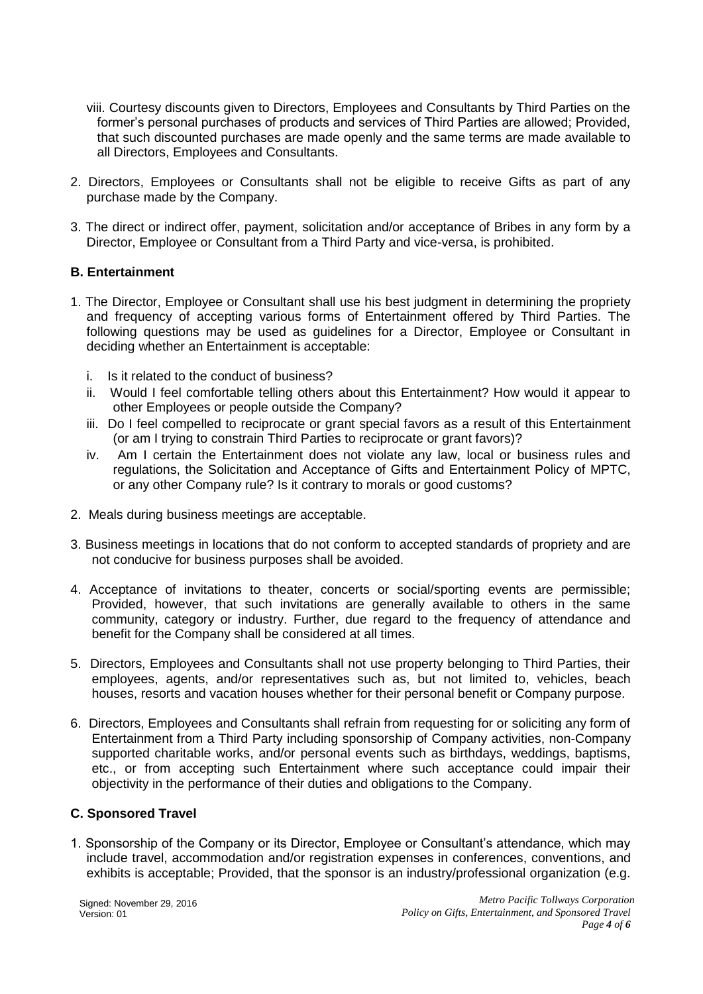- viii. Courtesy discounts given to Directors, Employees and Consultants by Third Parties on the former's personal purchases of products and services of Third Parties are allowed; Provided, that such discounted purchases are made openly and the same terms are made available to all Directors, Employees and Consultants.
- 2. Directors, Employees or Consultants shall not be eligible to receive Gifts as part of any purchase made by the Company.
- 3. The direct or indirect offer, payment, solicitation and/or acceptance of Bribes in any form by a Director, Employee or Consultant from a Third Party and vice-versa, is prohibited.

### **B. Entertainment**

- 1. The Director, Employee or Consultant shall use his best judgment in determining the propriety and frequency of accepting various forms of Entertainment offered by Third Parties. The following questions may be used as guidelines for a Director, Employee or Consultant in deciding whether an Entertainment is acceptable:
	- i. Is it related to the conduct of business?
	- ii. Would I feel comfortable telling others about this Entertainment? How would it appear to other Employees or people outside the Company?
	- iii. Do I feel compelled to reciprocate or grant special favors as a result of this Entertainment (or am I trying to constrain Third Parties to reciprocate or grant favors)?
	- iv. Am I certain the Entertainment does not violate any law, local or business rules and regulations, the Solicitation and Acceptance of Gifts and Entertainment Policy of MPTC, or any other Company rule? Is it contrary to morals or good customs?
- 2. Meals during business meetings are acceptable.
- 3. Business meetings in locations that do not conform to accepted standards of propriety and are not conducive for business purposes shall be avoided.
- 4. Acceptance of invitations to theater, concerts or social/sporting events are permissible; Provided, however, that such invitations are generally available to others in the same community, category or industry. Further, due regard to the frequency of attendance and benefit for the Company shall be considered at all times.
- 5. Directors, Employees and Consultants shall not use property belonging to Third Parties, their employees, agents, and/or representatives such as, but not limited to, vehicles, beach houses, resorts and vacation houses whether for their personal benefit or Company purpose.
- 6. Directors, Employees and Consultants shall refrain from requesting for or soliciting any form of Entertainment from a Third Party including sponsorship of Company activities, non-Company supported charitable works, and/or personal events such as birthdays, weddings, baptisms, etc., or from accepting such Entertainment where such acceptance could impair their objectivity in the performance of their duties and obligations to the Company.

#### **C. Sponsored Travel**

1. Sponsorship of the Company or its Director, Employee or Consultant's attendance, which may include travel, accommodation and/or registration expenses in conferences, conventions, and exhibits is acceptable; Provided, that the sponsor is an industry/professional organization (e.g.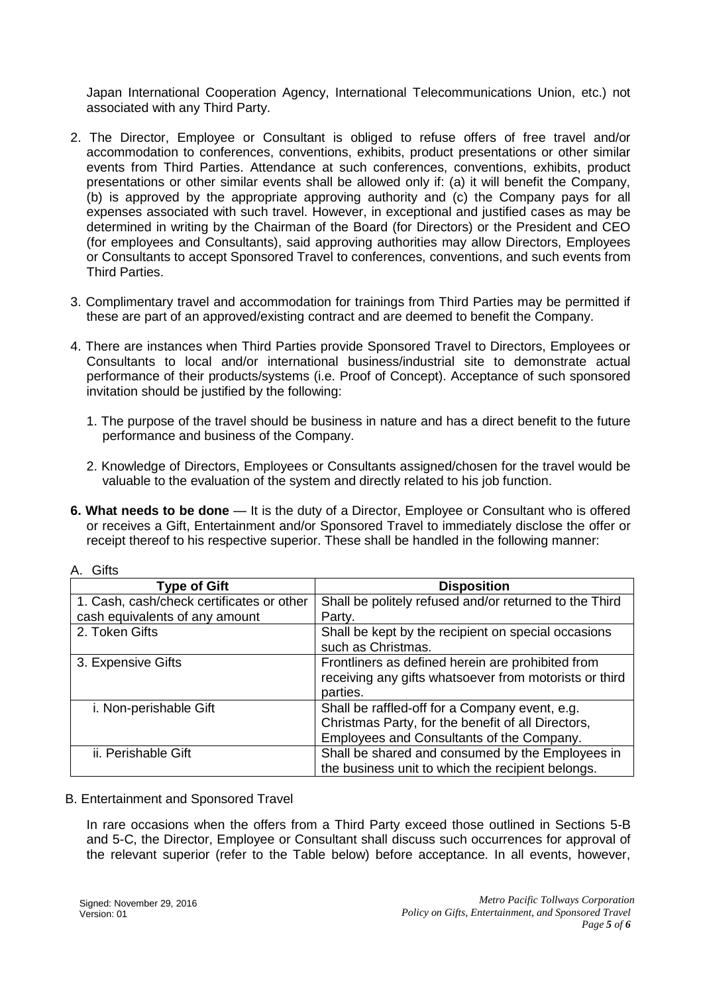Japan International Cooperation Agency, International Telecommunications Union, etc.) not associated with any Third Party.

- 2. The Director, Employee or Consultant is obliged to refuse offers of free travel and/or accommodation to conferences, conventions, exhibits, product presentations or other similar events from Third Parties. Attendance at such conferences, conventions, exhibits, product presentations or other similar events shall be allowed only if: (a) it will benefit the Company, (b) is approved by the appropriate approving authority and (c) the Company pays for all expenses associated with such travel. However, in exceptional and justified cases as may be determined in writing by the Chairman of the Board (for Directors) or the President and CEO (for employees and Consultants), said approving authorities may allow Directors, Employees or Consultants to accept Sponsored Travel to conferences, conventions, and such events from Third Parties.
- 3. Complimentary travel and accommodation for trainings from Third Parties may be permitted if these are part of an approved/existing contract and are deemed to benefit the Company.
- 4. There are instances when Third Parties provide Sponsored Travel to Directors, Employees or Consultants to local and/or international business/industrial site to demonstrate actual performance of their products/systems (i.e. Proof of Concept). Acceptance of such sponsored invitation should be justified by the following:
	- 1. The purpose of the travel should be business in nature and has a direct benefit to the future performance and business of the Company.
	- 2. Knowledge of Directors, Employees or Consultants assigned/chosen for the travel would be valuable to the evaluation of the system and directly related to his job function.
- **6. What needs to be done**  It is the duty of a Director, Employee or Consultant who is offered or receives a Gift, Entertainment and/or Sponsored Travel to immediately disclose the offer or receipt thereof to his respective superior. These shall be handled in the following manner:

| ىس ،                                      |                                                                                                                                                   |
|-------------------------------------------|---------------------------------------------------------------------------------------------------------------------------------------------------|
| <b>Type of Gift</b>                       | <b>Disposition</b>                                                                                                                                |
| 1. Cash, cash/check certificates or other | Shall be politely refused and/or returned to the Third                                                                                            |
| cash equivalents of any amount            | Party.                                                                                                                                            |
| 2. Token Gifts                            | Shall be kept by the recipient on special occasions<br>such as Christmas.                                                                         |
| 3. Expensive Gifts                        | Frontliners as defined herein are prohibited from<br>receiving any gifts whatsoever from motorists or third<br>parties.                           |
| i. Non-perishable Gift                    | Shall be raffled-off for a Company event, e.g.<br>Christmas Party, for the benefit of all Directors,<br>Employees and Consultants of the Company. |
| ii. Perishable Gift                       | Shall be shared and consumed by the Employees in<br>the business unit to which the recipient belongs.                                             |

A. Gifts

#### B. Entertainment and Sponsored Travel

In rare occasions when the offers from a Third Party exceed those outlined in Sections 5-B and 5-C, the Director, Employee or Consultant shall discuss such occurrences for approval of the relevant superior (refer to the Table below) before acceptance. In all events, however,